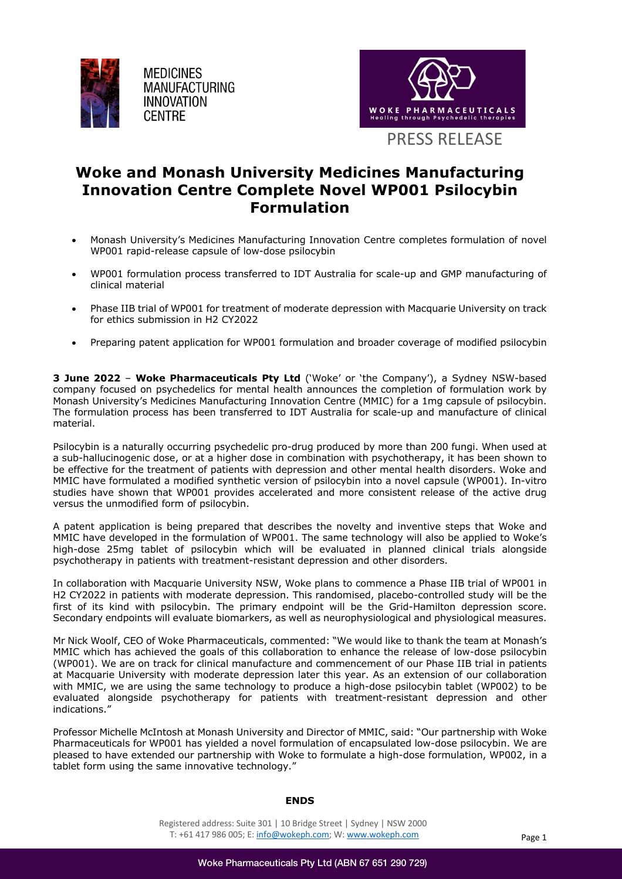

**MEDICINES MANUFACTURING INNOVATION CENTRE** 



# **Woke and Monash University Medicines Manufacturing Innovation Centre Complete Novel WP001 Psilocybin Formulation**

- Monash University's Medicines Manufacturing Innovation Centre completes formulation of novel WP001 rapid-release capsule of low-dose psilocybin
- WP001 formulation process transferred to IDT Australia for scale-up and GMP manufacturing of clinical material
- Phase IIB trial of WP001 for treatment of moderate depression with Macquarie University on track for ethics submission in H2 CY2022
- Preparing patent application for WP001 formulation and broader coverage of modified psilocybin

**3 June 2022** – **Woke Pharmaceuticals Pty Ltd** ('Woke' or 'the Company'), a Sydney NSW-based company focused on psychedelics for mental health announces the completion of formulation work by Monash University's Medicines Manufacturing Innovation Centre (MMIC) for a 1mg capsule of psilocybin. The formulation process has been transferred to IDT Australia for scale-up and manufacture of clinical material.

Psilocybin is a naturally occurring psychedelic pro-drug produced by more than 200 fungi. When used at a sub-hallucinogenic dose, or at a higher dose in combination with psychotherapy, it has been shown to be effective for the treatment of patients with depression and other mental health disorders. Woke and MMIC have formulated a modified synthetic version of psilocybin into a novel capsule (WP001). In-vitro studies have shown that WP001 provides accelerated and more consistent release of the active drug versus the unmodified form of psilocybin.

A patent application is being prepared that describes the novelty and inventive steps that Woke and MMIC have developed in the formulation of WP001. The same technology will also be applied to Woke's high-dose 25mg tablet of psilocybin which will be evaluated in planned clinical trials alongside psychotherapy in patients with treatment-resistant depression and other disorders.

In collaboration with Macquarie University NSW, Woke plans to commence a Phase IIB trial of WP001 in H2 CY2022 in patients with moderate depression. This randomised, placebo-controlled study will be the first of its kind with psilocybin. The primary endpoint will be the Grid-Hamilton depression score. Secondary endpoints will evaluate biomarkers, as well as neurophysiological and physiological measures.

Mr Nick Woolf, CEO of Woke Pharmaceuticals, commented: "We would like to thank the team at Monash's MMIC which has achieved the goals of this collaboration to enhance the release of low-dose psilocybin (WP001). We are on track for clinical manufacture and commencement of our Phase IIB trial in patients at Macquarie University with moderate depression later this year. As an extension of our collaboration with MMIC, we are using the same technology to produce a high-dose psilocybin tablet (WP002) to be evaluated alongside psychotherapy for patients with treatment-resistant depression and other indications."

Professor Michelle McIntosh at Monash University and Director of MMIC, said: "Our partnership with Woke Pharmaceuticals for WP001 has yielded a novel formulation of encapsulated low-dose psilocybin. We are pleased to have extended our partnership with Woke to formulate a high-dose formulation, WP002, in a tablet form using the same innovative technology."

#### **ENDS**

Registered address: Suite 301 | 10 Bridge Street | Sydney | NSW 2000 T: +61 417 986 005; E: info@wokeph.com; W: www.wokeph.com